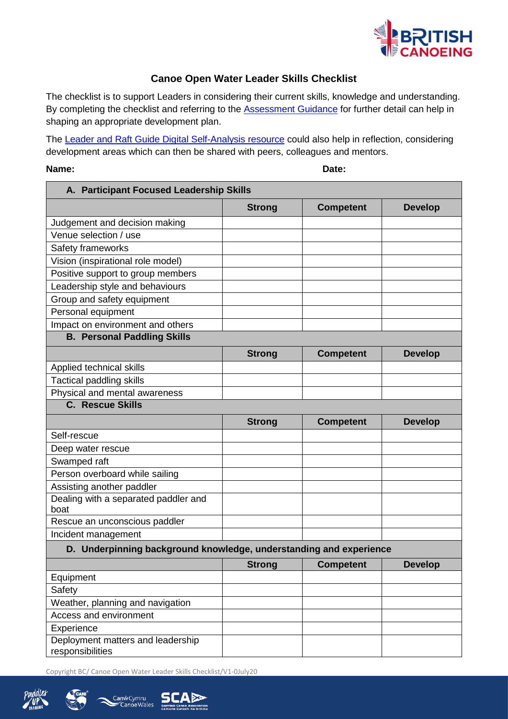

## **Canoe Open Water Leader Skills Checklist**

The checklist is to support Leaders in considering their current skills, knowledge and understanding. By completing the checklist and referring to the **Assessment Guidance** for further detail can help in shaping an appropriate development plan.

The [Leader and Raft Guide Digital](https://www.britishcanoeingawarding.org.uk/leader-raft-guide-self-analysis/) Self-Analysis resource could also help in reflection, considering development areas which can then be shared with peers, colleagues and mentors.

## **Name: Date:**

| A. Participant Focused Leadership Skills                           |               |                  |                |
|--------------------------------------------------------------------|---------------|------------------|----------------|
|                                                                    | <b>Strong</b> | <b>Competent</b> | <b>Develop</b> |
| Judgement and decision making                                      |               |                  |                |
| Venue selection / use                                              |               |                  |                |
| Safety frameworks                                                  |               |                  |                |
| Vision (inspirational role model)                                  |               |                  |                |
| Positive support to group members                                  |               |                  |                |
| Leadership style and behaviours                                    |               |                  |                |
| Group and safety equipment                                         |               |                  |                |
| Personal equipment                                                 |               |                  |                |
| Impact on environment and others                                   |               |                  |                |
| <b>B. Personal Paddling Skills</b>                                 |               |                  |                |
|                                                                    | <b>Strong</b> | <b>Competent</b> | <b>Develop</b> |
| Applied technical skills                                           |               |                  |                |
| <b>Tactical paddling skills</b>                                    |               |                  |                |
| Physical and mental awareness                                      |               |                  |                |
| <b>C.</b> Rescue Skills                                            |               |                  |                |
|                                                                    | <b>Strong</b> | <b>Competent</b> | <b>Develop</b> |
| Self-rescue                                                        |               |                  |                |
| Deep water rescue                                                  |               |                  |                |
| Swamped raft                                                       |               |                  |                |
| Person overboard while sailing                                     |               |                  |                |
| Assisting another paddler                                          |               |                  |                |
| Dealing with a separated paddler and<br>boat                       |               |                  |                |
| Rescue an unconscious paddler                                      |               |                  |                |
| Incident management                                                |               |                  |                |
| D. Underpinning background knowledge, understanding and experience |               |                  |                |
|                                                                    | <b>Strong</b> | <b>Competent</b> | <b>Develop</b> |
| Equipment                                                          |               |                  |                |
| Safety                                                             |               |                  |                |
| Weather, planning and navigation                                   |               |                  |                |
| Access and environment                                             |               |                  |                |
| Experience                                                         |               |                  |                |
| Deployment matters and leadership<br>responsibilities              |               |                  |                |

Copyright BC/ Canoe Open Water Leader Skills Checklist/V1-0July20